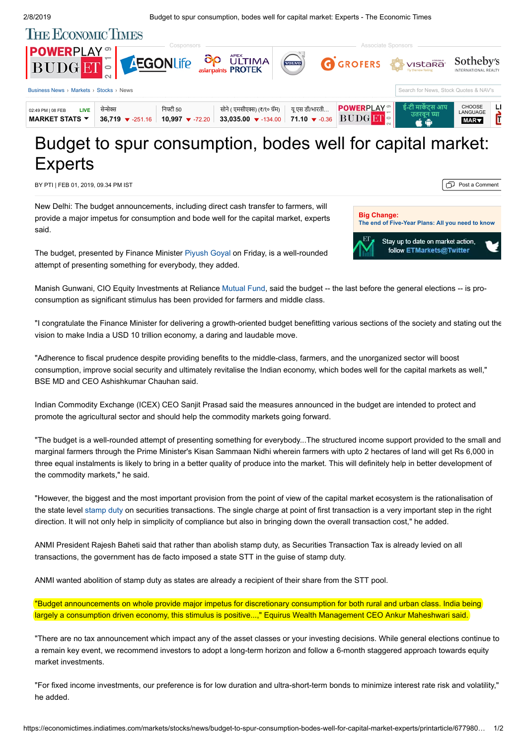

## Budget to spur consumption, bodes well for capital market: **Experts**

BY PTI | FEB 01, 2019, 09.34 PM IST POST A COMMENT POST A COMMENT POST A COMMENT POST A COMMENT

New Delhi: The budget announcements, including direct cash transfer to farmers, will provide a major impetus for consumption and bode well for the capital market, experts said.



The budget, presented by Finance Minister [Piyush Goyal](https://economictimes.indiatimes.com/topic/Piyush-Goyal) on Friday, is a well-rounded attempt of presenting something for everybody, they added.

Manish Gunwani, CIO Equity Investments at Reliance [Mutual Fund](https://economictimes.indiatimes.com/topic/Mutual-Fund), said the budget -- the last before the general elections -- is proconsumption as significant stimulus has been provided for farmers and middle class.

"I congratulate the Finance Minister for delivering a growth-oriented budget benefitting various sections of the society and stating out the vision to make India a USD 10 trillion economy, a daring and laudable move.

"Adherence to fiscal prudence despite providing benefits to the middle-class, farmers, and the unorganized sector will boost consumption, improve social security and ultimately revitalise the Indian economy, which bodes well for the capital markets as well," BSE MD and CEO Ashishkumar Chauhan said.

Indian Commodity Exchange (ICEX) CEO Sanjit Prasad said the measures announced in the budget are intended to protect and promote the agricultural sector and should help the commodity markets going forward.

"The budget is a well-rounded attempt of presenting something for everybody...The structured income support provided to the small and marginal farmers through the Prime Minister's Kisan Sammaan Nidhi wherein farmers with upto 2 hectares of land will get Rs 6,000 in three equal instalments is likely to bring in a better quality of produce into the market. This will definitely help in better development of the commodity markets," he said.

"However, the biggest and the most important provision from the point of view of the capital market ecosystem is the rationalisation of the state level [stamp duty](https://economictimes.indiatimes.com/topic/stamp-duty) on securities transactions. The single charge at point of first transaction is a very important step in the right direction. It will not only help in simplicity of compliance but also in bringing down the overall transaction cost," he added.

ANMI President Rajesh Baheti said that rather than abolish stamp duty, as Securities Transaction Tax is already levied on all transactions, the government has de facto imposed a state STT in the guise of stamp duty.

ANMI wanted abolition of stamp duty as states are already a recipient of their share from the STT pool.

"Budget announcements on whole provide major impetus for discretionary consumption for both rural and urban class. India being largely a consumption driven economy, this stimulus is positive...," Equirus Wealth Management CEO Ankur Maheshwari said.

"There are no tax announcement which impact any of the asset classes or your investing decisions. While general elections continue to a remain key event, we recommend investors to adopt a long-term horizon and follow a 6-month staggered approach towards equity market investments.

"For fixed income investments, our preference is for low duration and ultra-short-term bonds to minimize interest rate risk and volatility," he added.